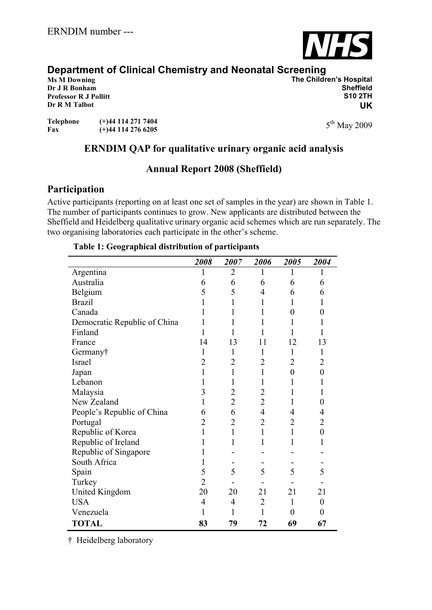

## **Department of Clinical Chemistry and Neonatal Screening**

**Dr R M Talbot**

**Ms M Downing The Children's Hospital Dr J R Bonham Sheffield Professor R J Pollitt S10 2TH UK**

5<sup>th</sup> May 2009

**Telephone (+)44 114 271 7404 Fax (+)44 114 276 6205**

# **ERNDIM QAP for qualitative urinary organic acid analysis**

## **Annual Report 2008 (Sheffield)**

## **Participation**

Active participants (reporting on at least one set of samples in the year) are shown in Table 1. The number of participants continues to grow. New applicants are distributed between the Sheffield and Heidelberg qualitative urinary organic acid schemes which are run separately. The two organising laboratories each participate in the other's scheme.

#### *2008 2007 2006 2005 2004* Argentina 1 2 1 1 1 Australia 6 6 6 6 6 Belgium 5 5 4 6 6 Brazil 1 1 1 1 1 1 Canada 1 1 1 0 0 Democratic Republic of China  $1 \quad 1 \quad 1 \quad 1 \quad 1$ Finland 1 1 1 1 1 1 France 14 13 11 12 13 Germany† 1 1 1 1 1 1 Israel 2 2 2 2 2 2 Japan 1 1 1 0 0 Lebanon 1 1 1 1 1 1 Malaysia 3 2 2 1 1 New Zealand  $1 \t 2 \t 2 \t 1 \t 0$ People's Republic of China  $\begin{array}{cccc} 6 & 6 & 4 & 4 \end{array}$ Portugal 2 2 2 2 2 Republic of Korea 1 1 1 1 0 Republic of Ireland 1 1 1 1 1 1 Republic of Singapore 1 - - - - -South Africa<br>
Spain  $\begin{array}{ccccccccc}\n1 & - & - & - & - & - \\
5 & 5 & 5 & 5 & 5\n\end{array}$ Spain 5 5 5 5 5 5 Turkey 2 - - - - - -United Kingdom 20 20 21 21 21 USA 4 4 2 1 0 Venezuela 1 1 1 0 0 **TOTAL 83 79 72 69 67**

#### **Table 1: Geographical distribution of participants**

† Heidelberg laboratory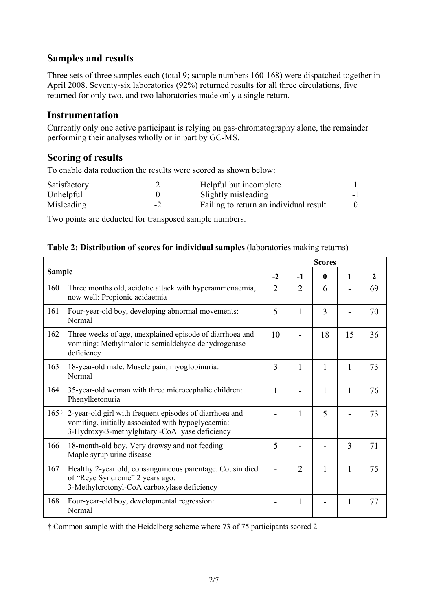### **Samples and results**

Three sets of three samples each (total 9; sample numbers 160-168) were dispatched together in April 2008. Seventy-six laboratories (92%) returned results for all three circulations, five returned for only two, and two laboratories made only a single return.

#### **Instrumentation**

Currently only one active participant is relying on gas-chromatography alone, the remainder performing their analyses wholly or in part by GC-MS.

### **Scoring of results**

To enable data reduction the results were scored as shown below:

| Satisfactory |    | Helpful but incomplete                 |    |
|--------------|----|----------------------------------------|----|
| Unhelpful    |    | Slightly misleading                    | -1 |
| Misleading   | -2 | Failing to return an individual result |    |

Two points are deducted for transposed sample numbers.

|               |                                                                                                                                                                       | <b>Scores</b>  |                |              |              |                |  |
|---------------|-----------------------------------------------------------------------------------------------------------------------------------------------------------------------|----------------|----------------|--------------|--------------|----------------|--|
| <b>Sample</b> |                                                                                                                                                                       | $-2$           | -1             | $\mathbf{0}$ | $\mathbf{1}$ | $\overline{2}$ |  |
| 160           | Three months old, acidotic attack with hyperammonaemia,<br>now well: Propionic acidaemia                                                                              | $\overline{2}$ | $\overline{2}$ | 6            |              | 69             |  |
| 161           | Four-year-old boy, developing abnormal movements:<br>Normal                                                                                                           | 5              | 1              | 3            |              | 70             |  |
| 162           | Three weeks of age, unexplained episode of diarrhoea and<br>vomiting: Methylmalonic semialdehyde dehydrogenase<br>deficiency                                          | 10             |                | 18           | 15           | 36             |  |
| 163           | 18-year-old male. Muscle pain, myoglobinuria:<br>Normal                                                                                                               | 3              | 1              | 1            | 1            | 73             |  |
| 164           | 35-year-old woman with three microcephalic children:<br>Phenylketonuria                                                                                               | 1              |                | 1            | 1            | 76             |  |
|               | 165† 2-year-old girl with frequent episodes of diarrhoea and<br>vomiting, initially associated with hypoglycaemia:<br>3-Hydroxy-3-methylglutaryl-CoA lyase deficiency |                | 1              | 5            |              | 73             |  |
| 166           | 18-month-old boy. Very drowsy and not feeding:<br>Maple syrup urine disease                                                                                           | 5              |                |              | 3            | 71             |  |
| 167           | Healthy 2-year old, consanguineous parentage. Cousin died<br>of "Reye Syndrome" 2 years ago:<br>3-Methylcrotonyl-CoA carboxylase deficiency                           |                | $\overline{2}$ | $\mathbf{1}$ | 1            | 75             |  |
| 168           | Four-year-old boy, developmental regression:<br>Normal                                                                                                                |                | 1              |              | 1            | 77             |  |

|  | Table 2: Distribution of scores for individual samples (laboratories making returns) |  |  |
|--|--------------------------------------------------------------------------------------|--|--|
|  |                                                                                      |  |  |

† Common sample with the Heidelberg scheme where 73 of 75 participants scored 2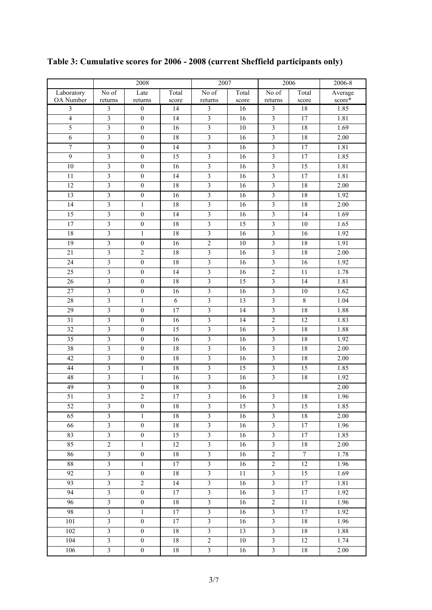|                  |                         | 2008             |                 | 2007                    |                 | 2006                    |                 | 2006-8  |
|------------------|-------------------------|------------------|-----------------|-------------------------|-----------------|-------------------------|-----------------|---------|
| Laboratory       | No of                   | Late             | Total           | No of                   | Total           | No of                   | Total           | Average |
| OA Number        | returns                 | returns          | score           | returns                 | score           | returns                 | score           | score*  |
| $\mathfrak{Z}$   | $\mathfrak{Z}$          | $\boldsymbol{0}$ | 14              | $\overline{\mathbf{3}}$ | 16              | $\overline{\mathbf{3}}$ | 18              | 1.85    |
| $\overline{4}$   | $\overline{\mathbf{3}}$ | $\boldsymbol{0}$ | 14              | $\overline{\mathbf{3}}$ | 16              | $\overline{\mathbf{3}}$ | 17              | 1.81    |
| $\overline{5}$   | $\overline{\mathbf{3}}$ | $\boldsymbol{0}$ | 16              | $\overline{3}$          | 10              | $\overline{\mathbf{3}}$ | $18\,$          | 1.69    |
| $\overline{6}$   | $\overline{3}$          | $\overline{0}$   | 18              | $\overline{\mathbf{3}}$ | 16              | $\overline{\mathbf{3}}$ | 18              | 2.00    |
| $\boldsymbol{7}$ | $\mathfrak{Z}$          | $\boldsymbol{0}$ | 14              | $\mathfrak{Z}$          | 16              | $\mathfrak{Z}$          | 17              | 1.81    |
| $\overline{9}$   | $\overline{\mathbf{3}}$ | $\boldsymbol{0}$ | 15              | $\overline{\mathbf{3}}$ | 16              | $\overline{\mathbf{3}}$ | 17              | 1.85    |
| $\overline{10}$  | $\overline{\mathbf{3}}$ | $\overline{0}$   | 16              | $\overline{\mathbf{3}}$ | 16              | $\overline{\mathbf{3}}$ | $\overline{15}$ | 1.81    |
| 11               | $\overline{\mathbf{3}}$ | $\boldsymbol{0}$ | 14              | $\overline{\mathbf{3}}$ | 16              | $\overline{\mathbf{3}}$ | 17              | 1.81    |
| $\overline{12}$  | $\overline{\mathbf{3}}$ | $\boldsymbol{0}$ | $\overline{18}$ | $\overline{\mathbf{3}}$ | $\overline{16}$ | $\overline{3}$          | 18              | 2.00    |
| 13               | $\overline{3}$          | $\boldsymbol{0}$ | 16              | $\overline{\mathbf{3}}$ | 16              | $\overline{3}$          | 18              | 1.92    |
| 14               | $\overline{\mathbf{3}}$ | $\,1$            | 18              | $\overline{\mathbf{3}}$ | 16              | $\overline{\mathbf{3}}$ | 18              | 2.00    |
| 15               | $\overline{\mathbf{3}}$ | $\boldsymbol{0}$ | 14              | $\overline{\mathbf{3}}$ | 16              | $\overline{\mathbf{3}}$ | 14              | 1.69    |
| $\overline{17}$  | $\overline{\mathbf{3}}$ | $\boldsymbol{0}$ | 18              | $\overline{\mathbf{3}}$ | 15              | $\overline{3}$          | $10\,$          | 1.65    |
| 18               | $\overline{\mathbf{3}}$ | $\,1$            | 18              | $\mathfrak{Z}$          | 16              | $\overline{\mathbf{3}}$ | 16              | 1.92    |
| $\overline{19}$  | $\overline{\mathbf{3}}$ | $\boldsymbol{0}$ | 16              | $\overline{2}$          | 10              | $\overline{\mathbf{3}}$ | $18\,$          | 1.91    |
| $\overline{21}$  | $\overline{\mathbf{3}}$ | $\overline{c}$   | 18              | $\overline{\mathbf{3}}$ | 16              | $\overline{3}$          | 18              | 2.00    |
| 24               | $\mathfrak z$           | $\boldsymbol{0}$ | 18              | $\mathfrak{Z}$          | 16              | $\mathfrak{Z}$          | 16              | 1.92    |
| $\overline{25}$  | $\overline{\mathbf{3}}$ | $\boldsymbol{0}$ | $\overline{14}$ | $\overline{\mathbf{3}}$ | 16              | $\overline{2}$          | 11              | 1.78    |
| $\overline{26}$  | $\overline{\mathbf{3}}$ | $\boldsymbol{0}$ | 18              | $\overline{3}$          | $\overline{15}$ | $\overline{3}$          | 14              | 1.81    |
| $\overline{27}$  | $\overline{\mathbf{3}}$ | $\boldsymbol{0}$ | 16              | $\overline{\mathbf{3}}$ | 16              | $\overline{\mathbf{3}}$ | $10\,$          | 1.62    |
| 28               | $\overline{\mathbf{3}}$ | $\mathbf{1}$     | $\overline{6}$  | $\overline{\mathbf{3}}$ | 13              | $\overline{3}$          | $\overline{8}$  | 1.04    |
| 29               | $\overline{\mathbf{3}}$ | $\boldsymbol{0}$ | $17\,$          | $\overline{\mathbf{3}}$ | 14              | $\overline{\mathbf{3}}$ | 18              | 1.88    |
| 31               | $\overline{\mathbf{3}}$ | $\boldsymbol{0}$ | 16              | $\overline{\mathbf{3}}$ | 14              | $\overline{2}$          | 12              | 1.83    |
| $\overline{32}$  | $\overline{\mathbf{3}}$ | $\boldsymbol{0}$ | $\overline{15}$ | $\overline{\mathbf{3}}$ | 16              | $\overline{\mathbf{3}}$ | 18              | 1.88    |
| $\overline{35}$  | $\overline{\mathbf{3}}$ | $\boldsymbol{0}$ | 16              | $\overline{\mathbf{3}}$ | 16              | $\overline{\mathbf{3}}$ | 18              | 1.92    |
| $\overline{38}$  | $\overline{\mathbf{3}}$ | $\boldsymbol{0}$ | 18              | $\overline{\mathbf{3}}$ | 16              | $\overline{\mathbf{3}}$ | 18              | 2.00    |
| $\overline{42}$  | $\overline{\mathbf{3}}$ | $\boldsymbol{0}$ | 18              | $\overline{\mathbf{3}}$ | 16              | $\overline{\mathbf{3}}$ | 18              | 2.00    |
| 44               | $\overline{3}$          | $\,1$            | 18              | $\overline{\mathbf{3}}$ | $\overline{15}$ | $\overline{3}$          | $\overline{15}$ | 1.85    |
| 48               | $\mathfrak{Z}$          | $\mathbf{1}$     | 16              | $\overline{\mathbf{3}}$ | 16              | $\overline{\mathbf{3}}$ | 18              | 1.92    |
| 49               | $\mathfrak z$           | $\boldsymbol{0}$ | $18\,$          | $\mathfrak{Z}$          | 16              |                         |                 | 2.00    |
| $\overline{51}$  | $\overline{\mathbf{3}}$ | $\overline{2}$   | $\overline{17}$ | $\overline{\mathbf{3}}$ | 16              | $\overline{\mathbf{3}}$ | 18              | 1.96    |
| 52               | $\mathfrak{Z}$          | $\boldsymbol{0}$ | 18              | $\mathfrak{Z}$          | 15              | $\mathfrak{Z}$          | 15              | 1.85    |
| 65               | $\mathfrak{Z}$          | $\mathbf{1}$     | 18              | $\overline{\mathbf{3}}$ | 16              | $\overline{\mathbf{3}}$ | 18              | 2.00    |
| 66               | $\mathfrak{Z}$          | $\boldsymbol{0}$ | 18              | $\overline{\mathbf{3}}$ | 16              | $\overline{\mathbf{3}}$ | 17              | 1.96    |
| 83               | $\overline{\mathbf{3}}$ | $\overline{0}$   | 15              | $\overline{\mathbf{3}}$ | 16              | $\overline{3}$          | 17              | 1.85    |
| 85               | $\sqrt{2}$              | $\mathbf{1}$     | 12              | $\mathfrak{Z}$          | 16              | $\mathfrak{Z}$          | 18              | 2.00    |
| 86               | $\overline{\mathbf{3}}$ | $\boldsymbol{0}$ | 18              | $\overline{\mathbf{3}}$ | 16              | $\overline{2}$          | $\tau$          | 1.78    |
| 88               | $\overline{3}$          | $\mathbf{1}$     | 17              | $\overline{3}$          | 16              | $\overline{2}$          | $\overline{12}$ | 1.96    |
| 92               | $\mathfrak{Z}$          | $\boldsymbol{0}$ | 18              | $\overline{\mathbf{3}}$ | 11              | $\overline{3}$          | 15              | 1.69    |
| 93               | $\overline{\mathbf{3}}$ | $\overline{2}$   | 14              | $\overline{\mathbf{3}}$ | 16              | $\overline{\mathbf{3}}$ | 17              | 1.81    |
| 94               | $\mathfrak{Z}$          | $\boldsymbol{0}$ | 17              | $\mathfrak{Z}$          | 16              | $\mathfrak{Z}$          | 17              | 1.92    |
| 96               | $\mathfrak{Z}$          | $\boldsymbol{0}$ | 18              | $\overline{\mathbf{3}}$ | 16              | $\overline{c}$          | 11              | 1.96    |
| 98               | $\overline{3}$          | $\mathbf{1}$     | 17              | $\overline{\mathbf{3}}$ | 16              | $\overline{\mathbf{3}}$ | 17              | 1.92    |
| 101              | $\mathfrak{Z}$          | $\boldsymbol{0}$ | 17              | $\mathfrak{Z}$          | 16              | $\mathfrak{Z}$          | $18\,$          | 1.96    |
| 102              | $\mathfrak{Z}$          | $\boldsymbol{0}$ | 18              | $\mathfrak{Z}$          | 13              | $\mathfrak{Z}$          | $18\,$          | 1.88    |
| 104              | $\overline{\mathbf{3}}$ | $\boldsymbol{0}$ | 18              | $\sqrt{2}$              | 10              | $\mathfrak{Z}$          | 12              | 1.74    |
| 106              | $\overline{3}$          | $\overline{0}$   | 18              | $\overline{3}$          | 16              | $\overline{3}$          | 18              | 2.00    |

## **Table 3: Cumulative scores for 2006 - 2008 (current Sheffield participants only)**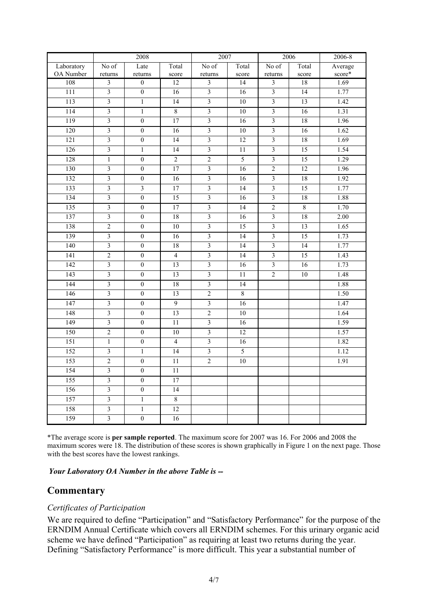|            |                         | 2008                    |                 | 2007                    |                 | 2006                    |                 | 2006-8  |
|------------|-------------------------|-------------------------|-----------------|-------------------------|-----------------|-------------------------|-----------------|---------|
| Laboratory | No of                   | Late                    | Total           | No of                   | Total           | No of                   | Total           | Average |
| OA Number  | returns                 | returns                 | score           | returns                 | score           | returns                 | score           | score*  |
| 108        | $\mathfrak{Z}$          | $\boldsymbol{0}$        | 12              | $\mathfrak{Z}$          | 14              | $\mathfrak{Z}$          | 18              | 1.69    |
| 111        | $\overline{3}$          | $\overline{0}$          | 16              | $\overline{3}$          | 16              | $\overline{\mathbf{3}}$ | 14              | 1.77    |
| 113        | $\overline{3}$          | $\,1$                   | $\overline{14}$ | $\overline{\mathbf{3}}$ | $\overline{10}$ | $\overline{3}$          | $\overline{13}$ | 1.42    |
| 114        | $\overline{3}$          | $\mathbf{1}$            | $\overline{8}$  | $\overline{\mathbf{3}}$ | $\overline{10}$ | $\overline{\mathbf{3}}$ | $\overline{16}$ | 1.31    |
| 119        | $\overline{3}$          | $\overline{0}$          | 17              | $\overline{\mathbf{3}}$ | 16              | $\overline{\mathbf{3}}$ | 18              | 1.96    |
| 120        | $\overline{3}$          | $\overline{0}$          | 16              | $\overline{3}$          | 10              | $\overline{3}$          | 16              | 1.62    |
| 121        | $\overline{\mathbf{3}}$ | $\overline{0}$          | $\overline{14}$ | $\overline{\mathbf{3}}$ | 12              | $\overline{\mathbf{3}}$ | 18              | 1.69    |
| 126        | $\overline{3}$          | $\mathbf{1}$            | 14              | $\overline{\mathbf{3}}$ | $\overline{11}$ | $\overline{3}$          | $\overline{15}$ | 1.54    |
| 128        | $\mathbf{1}$            | $\boldsymbol{0}$        | $\overline{2}$  | $\overline{2}$          | $\overline{5}$  | $\overline{3}$          | 15              | 1.29    |
| 130        | $\overline{\mathbf{3}}$ | $\boldsymbol{0}$        | $\overline{17}$ | $\overline{\mathbf{3}}$ | $\overline{16}$ | $\overline{2}$          | 12              | 1.96    |
| 132        | $\overline{3}$          | $\overline{0}$          | 16              | $\overline{3}$          | $\overline{16}$ | $\overline{3}$          | 18              | 1.92    |
| 133        | $\overline{\mathbf{3}}$ | $\overline{\mathbf{3}}$ | $\overline{17}$ | $\overline{\mathbf{3}}$ | 14              | $\overline{\mathbf{3}}$ | $\overline{15}$ | 1.77    |
| 134        | $\overline{3}$          | $\boldsymbol{0}$        | $\overline{15}$ | $\mathfrak{Z}$          | 16              | $\overline{3}$          | 18              | 1.88    |
| 135        | $\overline{\mathbf{3}}$ | $\overline{0}$          | 17              | $\overline{\mathbf{3}}$ | 14              | $\overline{2}$          | $\sqrt{8}$      | 1.70    |
| 137        | $\overline{\mathbf{3}}$ | $\boldsymbol{0}$        | $\overline{18}$ | $\mathfrak{Z}$          | $\overline{16}$ | $\overline{\mathbf{3}}$ | 18              | 2.00    |
| 138        | $\overline{2}$          | $\overline{0}$          | 10              | $\overline{\mathbf{3}}$ | 15              | $\overline{3}$          | 13              | 1.65    |
| 139        | $\overline{3}$          | $\overline{0}$          | 16              | $\overline{\mathbf{3}}$ | 14              | $\overline{3}$          | $\overline{15}$ | 1.73    |
| 140        | $\overline{\mathbf{3}}$ | $\boldsymbol{0}$        | 18              | $\overline{\mathbf{3}}$ | 14              | $\overline{3}$          | 14              | 1.77    |
| 141        | $\overline{2}$          | $\overline{0}$          | $\overline{4}$  | $\overline{\mathbf{3}}$ | 14              | $\overline{\mathbf{3}}$ | 15              | 1.43    |
| 142        | $\overline{3}$          | $\overline{0}$          | 13              | $\overline{\mathbf{3}}$ | 16              | $\overline{\mathbf{3}}$ | $\overline{16}$ | 1.73    |
| 143        | $\overline{3}$          | $\overline{0}$          | 13              | $\overline{\mathbf{3}}$ | 11              | $\overline{2}$          | 10              | 1.48    |
| 144        | $\overline{3}$          | $\overline{0}$          | $\overline{18}$ | $\overline{\mathbf{3}}$ | $\overline{14}$ |                         |                 | 1.88    |
| 146        | $\overline{3}$          | $\boldsymbol{0}$        | 13              | $\overline{c}$          | $\overline{8}$  |                         |                 | 1.50    |
| 147        | $\overline{3}$          | $\overline{0}$          | $\overline{9}$  | $\overline{3}$          | 16              |                         |                 | 1.47    |
| 148        | $\overline{3}$          | $\overline{0}$          | 13              | $\overline{2}$          | 10              |                         |                 | 1.64    |
| 149        | $\overline{3}$          | $\overline{0}$          | $\overline{11}$ | $\overline{\mathbf{3}}$ | 16              |                         |                 | 1.59    |
| 150        | $\overline{2}$          | $\overline{0}$          | $\overline{10}$ | $\overline{\mathbf{3}}$ | $\overline{12}$ |                         |                 | 1.57    |
| 151        | $\overline{1}$          | $\overline{0}$          | $\overline{4}$  | $\overline{\mathbf{3}}$ | 16              |                         |                 | 1.82    |
| 152        | $\overline{3}$          | $\mathbf{1}$            | $\overline{14}$ | $\overline{\mathbf{3}}$ | $\overline{5}$  |                         |                 | 1.12    |
| 153        | $\overline{c}$          | $\overline{0}$          | $\overline{11}$ | $\overline{c}$          | 10              |                         |                 | 1.91    |
| 154        | $\overline{3}$          | $\overline{0}$          | $\overline{11}$ |                         |                 |                         |                 |         |
| 155        | $\overline{3}$          | $\overline{0}$          | $\overline{17}$ |                         |                 |                         |                 |         |
| 156        | $\overline{3}$          | $\overline{0}$          | 14              |                         |                 |                         |                 |         |
| 157        | $\overline{3}$          | $\mathbf{1}$            | $\overline{8}$  |                         |                 |                         |                 |         |
| 158        | $\overline{\mathbf{3}}$ | $\mathbf{1}$            | 12              |                         |                 |                         |                 |         |
| 159        | $\overline{\mathbf{3}}$ | $\overline{0}$          | $\overline{16}$ |                         |                 |                         |                 |         |

\*The average score is **per sample reported**. The maximum score for 2007 was 16. For 2006 and 2008 the maximum scores were 18. The distribution of these scores is shown graphically in Figure 1 on the next page. Those with the best scores have the lowest rankings.

*Your Laboratory OA Number in the above Table is --*

### **Commentary**

#### *Certificates of Participation*

We are required to define "Participation" and "Satisfactory Performance" for the purpose of the ERNDIM Annual Certificate which covers all ERNDIM schemes. For this urinary organic acid scheme we have defined "Participation" as requiring at least two returns during the year. Defining "Satisfactory Performance" is more difficult. This year a substantial number of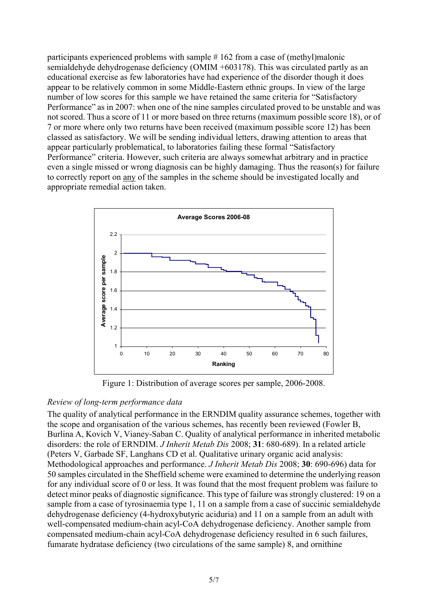participants experienced problems with sample # 162 from a case of (methyl)malonic semialdehyde dehydrogenase deficiency (OMIM +603178). This was circulated partly as an educational exercise as few laboratories have had experience of the disorder though it does appear to be relatively common in some Middle-Eastern ethnic groups. In view of the large number of low scores for this sample we have retained the same criteria for "Satisfactory Performance" as in 2007: when one of the nine samples circulated proved to be unstable and was not scored. Thus a score of 11 or more based on three returns (maximum possible score 18), or of 7 or more where only two returns have been received (maximum possible score 12) has been classed as satisfactory. We will be sending individual letters, drawing attention to areas that appear particularly problematical, to laboratories failing these formal "Satisfactory Performance" criteria. However, such criteria are always somewhat arbitrary and in practice even a single missed or wrong diagnosis can be highly damaging. Thus the reason(s) for failure to correctly report on any of the samples in the scheme should be investigated locally and appropriate remedial action taken.



Figure 1: Distribution of average scores per sample, 2006-2008.

### *Review of long-term performance data*

The quality of analytical performance in the ERNDIM quality assurance schemes, together with the scope and organisation of the various schemes, has recently been reviewed (Fowler B, Burlina A, Kovich V, Vianey-Saban C. Quality of analytical performance in inherited metabolic disorders: the role of ERNDIM. *J Inherit Metab Dis* 2008; **31**: 680-689). In a related article (Peters V, Garbade SF, Langhans CD et al. Qualitative urinary organic acid analysis: Methodological approaches and performance. *J Inherit Metab Dis* 2008; **30**: 690-696) data for 50 samples circulated in the Sheffield scheme were examined to determine the underlying reason for any individual score of 0 or less. It was found that the most frequent problem was failure to detect minor peaks of diagnostic significance. This type of failure was strongly clustered: 19 on a sample from a case of tyrosinaemia type 1, 11 on a sample from a case of succinic semialdehyde dehydrogenase deficiency (4-hydroxybutyric aciduria) and 11 on a sample from an adult with well-compensated medium-chain acyl-CoA dehydrogenase deficiency. Another sample from compensated medium-chain acyl-CoA dehydrogenase deficiency resulted in 6 such failures, fumarate hydratase deficiency (two circulations of the same sample) 8, and ornithine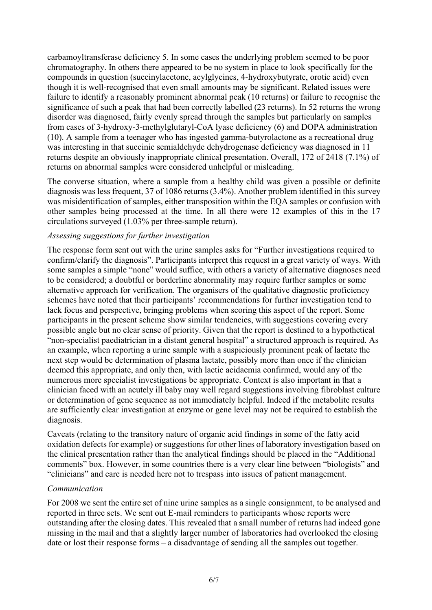carbamoyltransferase deficiency 5. In some cases the underlying problem seemed to be poor chromatography. In others there appeared to be no system in place to look specifically for the compounds in question (succinylacetone, acylglycines, 4-hydroxybutyrate, orotic acid) even though it is well-recognised that even small amounts may be significant. Related issues were failure to identify a reasonably prominent abnormal peak (10 returns) or failure to recognise the significance of such a peak that had been correctly labelled (23 returns). In 52 returns the wrong disorder was diagnosed, fairly evenly spread through the samples but particularly on samples from cases of 3-hydroxy-3-methylglutaryl-CoA lyase deficiency (6) and DOPA administration (10). A sample from a teenager who has ingested gamma-butyrolactone as a recreational drug was interesting in that succinic semialdehyde dehydrogenase deficiency was diagnosed in 11 returns despite an obviously inappropriate clinical presentation. Overall, 172 of 2418 (7.1%) of returns on abnormal samples were considered unhelpful or misleading.

The converse situation, where a sample from a healthy child was given a possible or definite diagnosis was less frequent, 37 of 1086 returns (3.4%). Another problem identified in this survey was misidentification of samples, either transposition within the EQA samples or confusion with other samples being processed at the time. In all there were 12 examples of this in the 17 circulations surveyed (1.03% per three-sample return).

#### *Assessing suggestions for further investigation*

The response form sent out with the urine samples asks for "Further investigations required to confirm/clarify the diagnosis". Participants interpret this request in a great variety of ways. With some samples a simple "none" would suffice, with others a variety of alternative diagnoses need to be considered; a doubtful or borderline abnormality may require further samples or some alternative approach for verification. The organisers of the qualitative diagnostic proficiency schemes have noted that their participants' recommendations for further investigation tend to lack focus and perspective, bringing problems when scoring this aspect of the report. Some participants in the present scheme show similar tendencies, with suggestions covering every possible angle but no clear sense of priority. Given that the report is destined to a hypothetical "non-specialist paediatrician in a distant general hospital" a structured approach is required. As an example, when reporting a urine sample with a suspiciously prominent peak of lactate the next step would be determination of plasma lactate, possibly more than once if the clinician deemed this appropriate, and only then, with lactic acidaemia confirmed, would any of the numerous more specialist investigations be appropriate. Context is also important in that a clinician faced with an acutely ill baby may well regard suggestions involving fibroblast culture or determination of gene sequence as not immediately helpful. Indeed if the metabolite results are sufficiently clear investigation at enzyme or gene level may not be required to establish the diagnosis.

Caveats (relating to the transitory nature of organic acid findings in some of the fatty acid oxidation defects for example) or suggestions for other lines of laboratory investigation based on the clinical presentation rather than the analytical findings should be placed in the "Additional comments" box. However, in some countries there is a very clear line between "biologists" and "clinicians" and care is needed here not to trespass into issues of patient management.

#### *Communication*

For 2008 we sent the entire set of nine urine samples as a single consignment, to be analysed and reported in three sets. We sent out E-mail reminders to participants whose reports were outstanding after the closing dates. This revealed that a small number of returns had indeed gone missing in the mail and that a slightly larger number of laboratories had overlooked the closing date or lost their response forms – a disadvantage of sending all the samples out together.